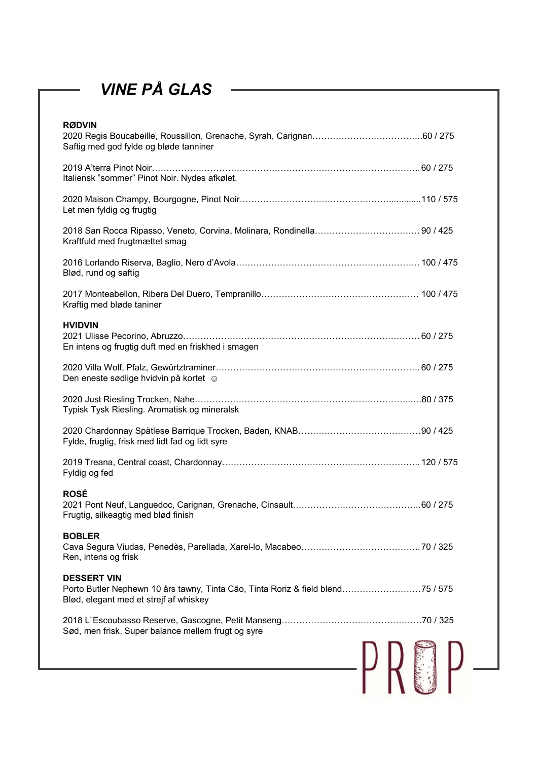# VINE PÅ GLAS

| <b>VINE PÅ GLAS</b>                                                                                                                             |  |
|-------------------------------------------------------------------------------------------------------------------------------------------------|--|
| <b>RØDVIN</b><br>Saftig med god fylde og bløde tanniner                                                                                         |  |
| Italiensk "sommer" Pinot Noir. Nydes afkølet.                                                                                                   |  |
| Let men fyldig og frugtig                                                                                                                       |  |
| Kraftfuld med frugtmættet smag                                                                                                                  |  |
| Blød, rund og saftig                                                                                                                            |  |
| Kraftig med bløde taniner                                                                                                                       |  |
| <b>HVIDVIN</b><br>En intens og frugtig duft med en friskhed i smagen                                                                            |  |
| Den eneste sødlige hvidvin på kortet o                                                                                                          |  |
| Typisk Tysk Riesling. Aromatisk og mineralsk                                                                                                    |  |
| Fylde, frugtig, frisk med lidt fad og lidt syre                                                                                                 |  |
| Fyldig og fed                                                                                                                                   |  |
| <b>ROSÉ</b><br>Frugtig, silkeagtig med blød finish                                                                                              |  |
| <b>BOBLER</b><br>Ren, intens og frisk                                                                                                           |  |
| <b>DESSERT VIN</b><br>Porto Butler Nephewn 10 års tawny, Tinta Cão, Tinta Roriz & field blend75 / 575<br>Blød, elegant med et strejf af whiskey |  |
| Sød, men frisk. Super balance mellem frugt og syre                                                                                              |  |
|                                                                                                                                                 |  |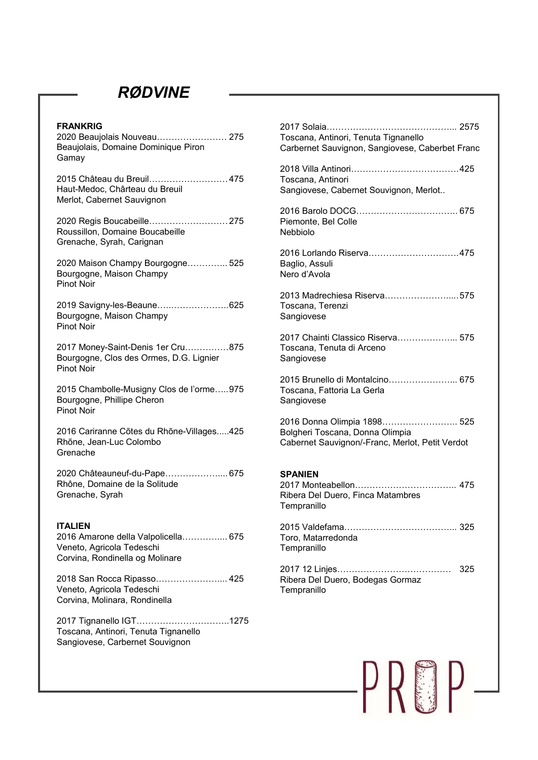## RØDVINE

| <b>RØDVINE</b>                                                                                      |                                                                                    |
|-----------------------------------------------------------------------------------------------------|------------------------------------------------------------------------------------|
|                                                                                                     |                                                                                    |
| <b>FRANKRIG</b><br>2020 Beaujolais Nouveau 275                                                      | Toscana, Antinori, Tenuta Tignanello                                               |
| Beaujolais, Domaine Dominique Piron                                                                 | Carbernet Sauvignon, Sangiovese, Caberbet Franc                                    |
| Gamay                                                                                               |                                                                                    |
| 2015 Château du Breuil 475                                                                          | Toscana, Antinori                                                                  |
| Haut-Medoc, Chârteau du Breuil<br>Merlot, Cabernet Sauvignon                                        | Sangiovese, Cabernet Souvignon, Merlot                                             |
|                                                                                                     | . 675                                                                              |
| 2020 Regis Boucabeille 275<br>Roussillon, Domaine Boucabeille<br>Grenache, Syrah, Carignan          | Piemonte, Bel Colle<br><b>Nebbiolo</b>                                             |
|                                                                                                     | 2016 Lorlando Riserva475                                                           |
| 2020 Maison Champy Bourgogne 525<br>Bourgogne, Maison Champy                                        | Baglio, Assuli<br>Nero d'Avola                                                     |
| <b>Pinot Noir</b>                                                                                   | 2013 Madrechiesa Riserva575                                                        |
| 2019 Savigny-les-Beaune625<br>Bourgogne, Maison Champy                                              | Toscana, Terenzi<br>Sangiovese                                                     |
| <b>Pinot Noir</b>                                                                                   | 2017 Chainti Classico Riserva 575                                                  |
| 2017 Money-Saint-Denis 1er Cru875<br>Bourgogne, Clos des Ormes, D.G. Lignier<br><b>Pinot Noir</b>   | Toscana, Tenuta di Arceno<br>Sangiovese                                            |
|                                                                                                     | 2015 Brunello di Montalcino 675                                                    |
| 2015 Chambolle-Musigny Clos de l'orme975<br>Bourgogne, Phillipe Cheron<br><b>Pinot Noir</b>         | Toscana, Fattoria La Gerla<br>Sangiovese                                           |
|                                                                                                     | 2016 Donna Olimpia 1898 525                                                        |
| 2016 Cariranne Cõtes du Rhõne-Villages425<br>Rhõne, Jean-Luc Colombo<br>Grenache                    | Bolgheri Toscana, Donna Olimpia<br>Cabernet Sauvignon/-Franc, Merlot, Petit Verdot |
| 2020 Châteauneuf-du-Pape 675                                                                        | <b>SPANIEN</b>                                                                     |
| Rhône, Domaine de la Solitude<br>Grenache, Syrah                                                    | Ribera Del Duero, Finca Matambres<br>Tempranillo                                   |
| <b>ITALIEN</b>                                                                                      |                                                                                    |
| 2016 Amarone della Valpolicella 675<br>Veneto, Agricola Tedeschi<br>Corvina, Rondinella og Molinare | Toro, Matarredonda<br>Tempranillo                                                  |
| 2018 San Rocca Ripasso 425<br>Veneto, Agricola Tedeschi<br>Corvina, Molinara, Rondinella            | Ribera Del Duero, Bodegas Gormaz<br>Tempranillo                                    |
| 2017 Tignanello IGT1275<br>Toscana, Antinori, Tenuta Tignanello<br>Sangiovese, Carbernet Souvignon  |                                                                                    |